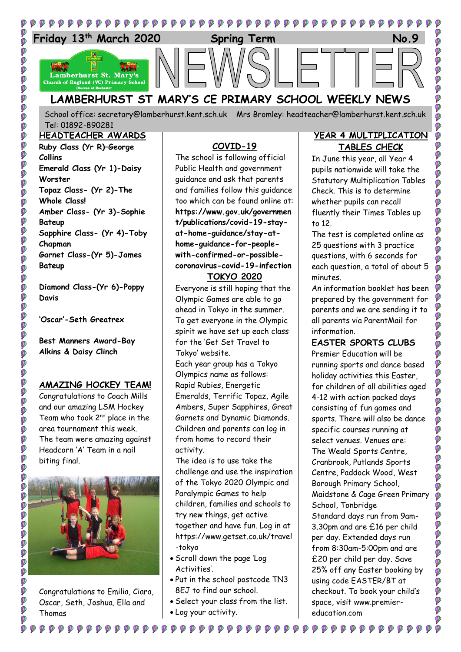

School office: [secretary@lamberhurst.kent.sch.uk](mailto:secretary@lamberhurst.kent.sch.uk) Mrs Bromley: headteacher@lamberhurst.kent.sch.uk Tel: 01892-890281

#### **HEADTEACHER AWARDS Ruby Class (Yr R)–George Collins Emerald Class (Yr 1)-Daisy**

**Worster Topaz Class- (Yr 2)-The Whole Class! Amber Class- (Yr 3)-Sophie Bateup Sapphire Class- (Yr 4)-Toby Chapman Garnet Class-(Yr 5)-James Bateup**

**POD** 

**POP** 

Ø Ø Ø Ø

Ø

00000

0000000

**PPP** 

Ó

Ø

Ø

O O O

OO

Ø

O

Ø Ø **Diamond Class-(Yr 6)-Poppy Davis**

**'Oscar'-Seth Greatrex**

**Best Manners Award-Bay Alkins & Daisy Clinch**

#### **AMAZING HOCKEY TEAM!**

Congratulations to Coach Mills and our amazing LSM Hockey Team who took 2 $^{\text{nd}}$  place in the area tournament this week. The team were amazing against Headcorn 'A' Team in a nail biting final.



Congratulations to Emilia, Ciara, Oscar, Seth, Joshua, Ella and Thomas

**₽₽₽₽₽₽₽₽₽₽₽₽** 

### **COVID-19**

The school is following official Public Health and government guidance and ask that parents and families follow this guidance too which can be found online at: **https://www.gov.uk/governmen t/publications/covid-19-stayat-home-guidance/stay-athome-guidance-for-peoplewith-confirmed-or-possiblecoronavirus-covid-19-infection**

#### **TOKYO 2020**

Everyone is still hoping that the Olympic Games are able to go ahead in Tokyo in the summer. To get everyone in the Olympic spirit we have set up each class for the 'Get Set Travel to Tokyo' website. Each year group has a Tokyo Olympics name as follows: Rapid Rubies, Energetic Emeralds, Terrific Topaz, Agile Ambers, Super Sapphires, Great Garnets and Dynamic Diamonds. Children and parents can log in from home to record their activity.

The idea is to use take the challenge and use the inspiration of the Tokyo 2020 Olympic and Paralympic Games to help children, families and schools to try new things, get active together and have fun. Log in at https://www.getset.co.uk/travel -tokyo

- Scroll down the page 'Log Activities'.
- Put in the school postcode TN3 8EJ to find our school.
- Select your class from the list. Log your activity.

 $\begin{array}{ccccc} \circ & \circ & \circ & \circ & \circ \end{array}$ 

### **YEAR 4 MULTIPLICATION TABLES CHECK**

In June this year, all Year 4 pupils nationwide will take the Statutory Multiplication Tables Check. This is to determine whether pupils can recall fluently their Times Tables up to 12.

The test is completed online as 25 questions with 3 practice questions, with 6 seconds for each question, a total of about 5 minutes.

An information booklet has been prepared by the government for parents and we are sending it to all parents via ParentMail for information.

# **EASTER SPORTS CLUBS**

Premier Education will be running sports and dance based holiday activities this Easter, for children of all abilities aged 4-12 with action packed days consisting of fun games and sports. There will also be dance specific courses running at select venues. Venues are: The Weald Sports Centre, Cranbrook, Putlands Sports Centre, Paddock Wood, West Borough Primary School, Maidstone & Cage Green Primary School, Tonbridge Standard days run from 9am-3.30pm and are £16 per child per day. Extended days run from 8:30am-5:00pm and are £20 per child per day. Save 25% off any Easter booking by using code EASTER/BT at checkout. To book your child's space, visit www.premiereducation.com

 $\begin{smallmatrix} \bullet\hspace{0.2cm}&\bullet\hspace{0.2cm}&\bullet\hspace{0.2cm}&\bullet\hspace{0.2cm}&\bullet\hspace{0.2cm}&\bullet\hspace{0.2cm}&\bullet\hspace{0.2cm}&\bullet\hspace{0.2cm}&\bullet\hspace{0.2cm}&\bullet\hspace{0.2cm}&\bullet\hspace{0.2cm}&\bullet\hspace{0.2cm}&\bullet\hspace{0.2cm}&\bullet\hspace{0.2cm}&\bullet\hspace{0.2cm}&\bullet\hspace{0.2cm}&\bullet\hspace{0.2cm}&\bullet\hspace{0.2cm}&\bullet\hspace{0.2cm}&\bullet\hspace$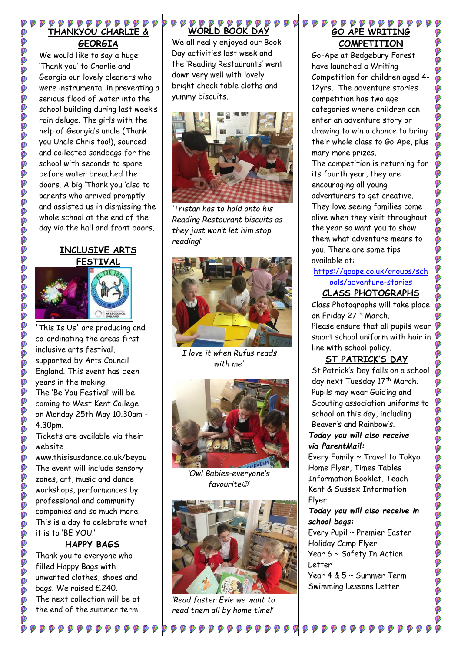#### **THANKYOU CHARLIE & GEORGIA**

Ø Ø

000000

9999999

ø Ø **O** Ø ø Ø

**DEE** 

OCOOOOO

000

**DO** Ø Ø Ø Ø **DO** 

Ø Ó Ø **P** 

Ø

**DDDDDDDDDDDDDDDDDDDDDDDDDDDD** 

Ø Ø Ø

**DOO** 

Ó

We would like to say a huge 'Thank you' to Charlie and Georgia our lovely cleaners who were instrumental in preventing a serious flood of water into the school building during last week's rain deluge. The girls with the help of Georgia's uncle (Thank you Uncle Chris too!), sourced and collected sandbags for the school with seconds to spare before water breached the doors. A big 'Thank you 'also to parents who arrived promptly and assisted us in dismissing the whole school at the end of the day via the hall and front doors.

# **INCLUSIVE ARTS FESTIVAL**



'This Is Us' are producing and co-ordinating the areas first inclusive arts festival, supported by Arts Council England. This event has been years in the making. The 'Be You Festival' will be coming to West Kent College on Monday 25th May 10.30am - 4.30pm.

Tickets are available via their website

www.thisisusdance.co.uk/beyou The event will include sensory zones, art, music and dance workshops, performances by professional and community companies and so much more. This is a day to celebrate what it is to 'BE YOU!'

# **HAPPY BAGS**

Thank you to everyone who filled Happy Bags with unwanted clothes, shoes and bags. We raised £240. The next collection will be at the end of the summer term.

#### **WORLD BOOK DAY**

We all really enjoyed our Book Day activities last week and the 'Reading Restaurants' went down very well with lovely bright check table cloths and yummy biscuits.



*'Tristan has to hold onto his Reading Restaurant biscuits as they just won't let him stop reading!'*



*'I love it when Rufus reads with me'*



*'Owl Babies-everyone's favourite'*



*'Read faster Evie we want to read them all by home time!'*

### $\begin{array}{ccccc}\n\mathbf{0} & \mathbf{0} & \mathbf{0} & \mathbf{0} & \mathbf{0} & \mathbf{0} & \mathbf{0}\n\end{array}$ **GO APE WRITING COMPETITION**

Go-Ape at Bedgebury Forest have launched a Writing Competition for children aged 4- 12yrs. The adventure stories competition has two age categories where children can enter an adventure story or drawing to win a chance to bring their whole class to Go Ape, plus many more prizes.

The competition is returning for its fourth year, they are encouraging all young adventurers to get creative. They love seeing families come alive when they visit throughout the year so want you to show them what adventure means to you. There are some tips available at:

Ø Ó

99999

Ø Ø

Ø

00000000000

# [https://goape.co.uk/groups/sch](https://goape.co.uk/groups/schools/adventure-stories) [ools/adventure-stories](https://goape.co.uk/groups/schools/adventure-stories)

# **CLASS PHOTOGRAPHS**

Class Photographs will take place on Friday 27th March. Please ensure that all pupils wear  $\mathcal P$ smart school uniform with hair in line with school policy.

# **ST PATRICK'S DAY**

St Patrick's Day falls on a school day next Tuesday 17<sup>th</sup> March. Pupils may wear Guiding and Scouting association uniforms to school on this day, including Beaver's and Rainbow's.

#### *Today you will also receive via ParentMail:*

Every Family ~ Travel to Tokyo Home Flyer, Times Tables Information Booklet, Teach Kent & Sussex Information Flyer

#### *Today you will also receive in school bags:*

Every Pupil ~ Premier Easter Holiday Camp Flyer Year 6 ~ Safety In Action Letter Year 4 & 5 ~ Summer Term Swimming Lessons Letter